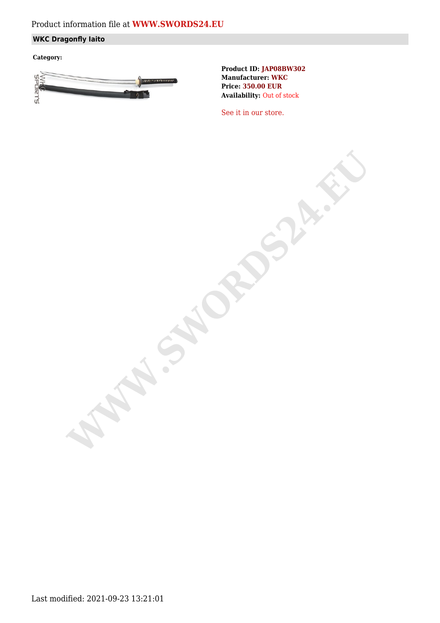# Product information file at **[WWW.SWORDS24.EU](https://www.swords24.eu)**

## **WKC Dragonfly Iaito**

**Category:**



**Product ID: JAP08BW302 Manufacturer: WKC Price: 350.00 EUR Availability:** Out of stock

[See it in our store.](https://www.swords24.eu/product/description/1124/WKC-Dragonfly-Iaito-JAP08BW302.html)

**WARDSHIP**